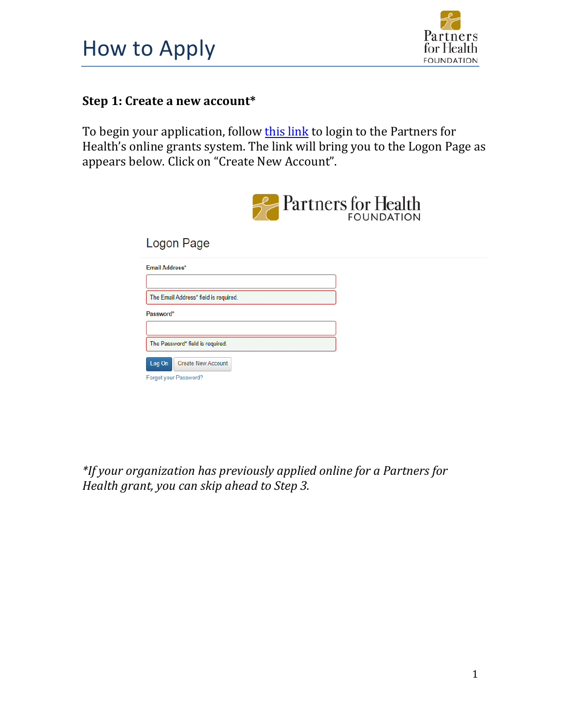



## **Step 1: Create a new account\***

To begin your application, follow this link to login to the [Partners fo](https://www.grantinterface.com/Common/LogOn.aspx?eqs=ULUxrLEqb2zvawpiy-7fQT7gGGPW75To0)r Health's online grants system. The link will bring you to the Logon Page as appears below. Click on "Create New Account".

|                                                       | <b>Partners</b> for Health<br><b>FOUNDATION</b> |
|-------------------------------------------------------|-------------------------------------------------|
| Logon Page                                            |                                                 |
| Email Address*                                        |                                                 |
| The Email Address* field is required.<br>Password*    |                                                 |
| The Password* field is required.                      |                                                 |
| Create New Account<br>Log On<br>Forgot your Password? |                                                 |

*\*If your organization has previously applied online for a Partners for Health grant, you can skip ahead to Step 3.*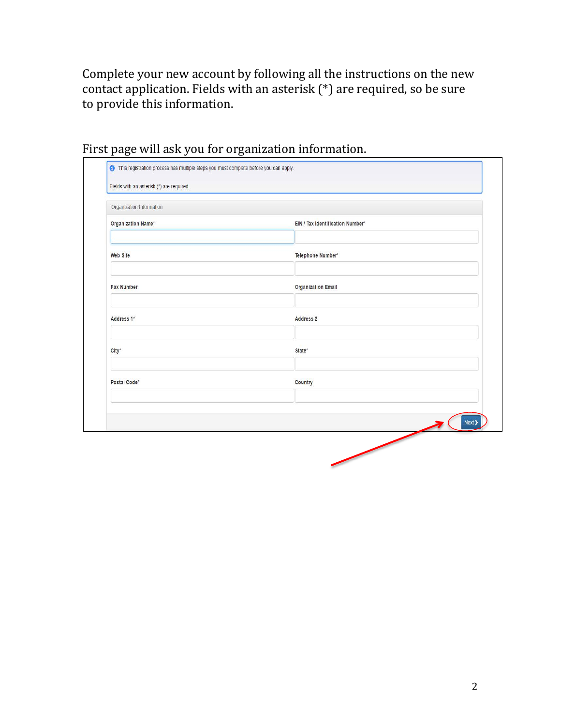Complete your new account by following all the instructions on the new contact application. Fields with an asterisk (\*) are required, so be sure to provide this information.

| Organization Information |                                  |
|--------------------------|----------------------------------|
| Organization Name*       | EIN / Tax Identification Number* |
| <b>Web Site</b>          | Telephone Number*                |
| <b>Fax Number</b>        | <b>Organization Email</b>        |
| Address 1*               | Address 2                        |
| City*                    | State*                           |
| Postal Code*             | Country                          |
|                          |                                  |

## First page will ask you for organization information.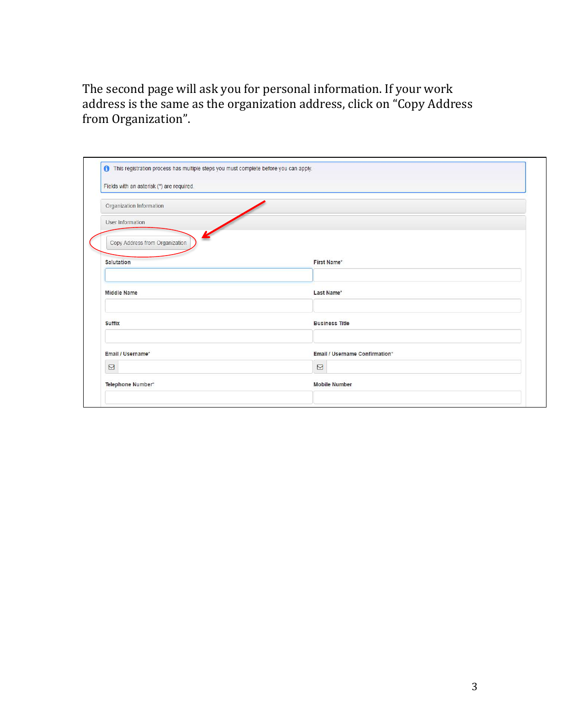The second page will ask you for personal information. If your work address is the same as the organization address, click on "Copy Address from Organization".

| Organization Information       |                                |  |
|--------------------------------|--------------------------------|--|
| User Information               |                                |  |
| Copy Address from Organization |                                |  |
| Salutation                     | First Name*                    |  |
| <b>Middle Name</b>             | Last Name*                     |  |
|                                | <b>Business Title</b>          |  |
| <b>Suffix</b>                  |                                |  |
| Email / Username*              | Email / Username Confirmation* |  |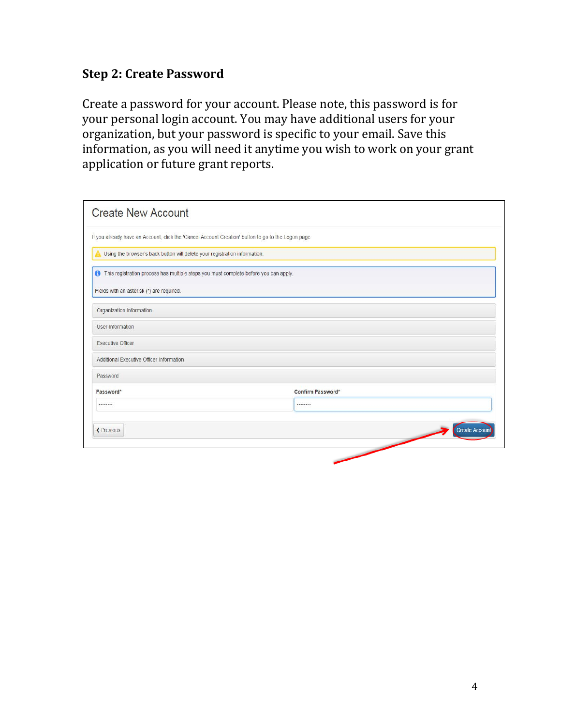## **Step 2: Create Password**

Create a password for your account. Please note, this password is for your personal login account. You may have additional users for your organization, but your password is specific to your email. Save this information, as you will need it anytime you wish to work on your grant application or future grant reports.

| <b>Create New Account</b>                                                                          |                      |
|----------------------------------------------------------------------------------------------------|----------------------|
| If you already have an Account, click the 'Cancel Account Creation' button to go to the Logon page |                      |
| Using the browser's back button will delete your registration information.                         |                      |
| This registration process has multiple steps you must complete before you can apply.               |                      |
| Fields with an asterisk (*) are required.                                                          |                      |
| Organization Information                                                                           |                      |
| User Information                                                                                   |                      |
| <b>Executive Officer</b>                                                                           |                      |
| Additional Executive Officer Information                                                           |                      |
| Password                                                                                           |                      |
| Password*                                                                                          | Confirm Password*    |
|                                                                                                    |                      |
| ← Previous                                                                                         | <b>Create Accoun</b> |
|                                                                                                    |                      |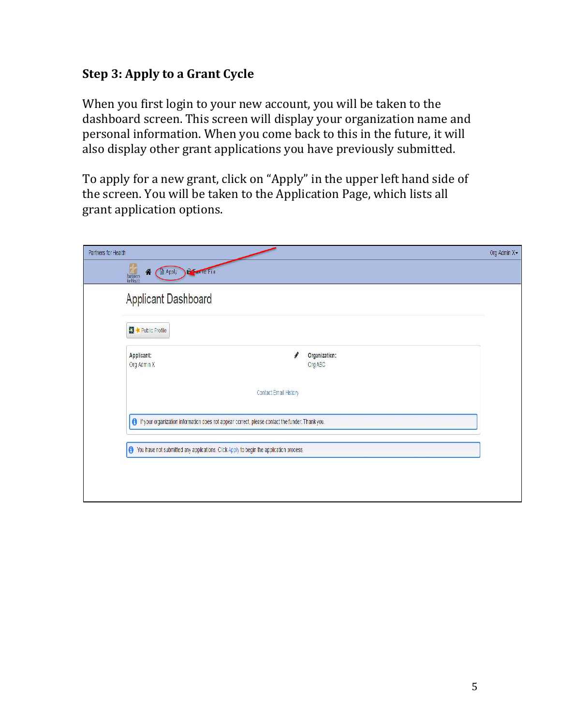## **Step 3: Apply to a Grant Cycle**

When you first login to your new account, you will be taken to the dashboard screen. This screen will display your organization name and personal information. When you come back to this in the future, it will also display other grant applications you have previously submitted.

To apply for a new grant, click on "Apply" in the upper left hand side of the screen. You will be taken to the Application Page, which lists all grant application options.

| Partners for Health                                 |                                                                                                   |  |
|-----------------------------------------------------|---------------------------------------------------------------------------------------------------|--|
| Partners<br>SurHxatin<br>Apoly<br>倄<br>Estat lo Fie |                                                                                                   |  |
| Applicant Dashboard                                 |                                                                                                   |  |
| <b>EX + Public Profile</b>                          |                                                                                                   |  |
| Applicant:<br>Org Admin X                           | Organization:<br>Org ABC                                                                          |  |
|                                                     | Contact Email History                                                                             |  |
|                                                     | O If your organization information does not appear correct, please contact the funder. Thank you, |  |
|                                                     | () You have not submitted any applications. Click Apply to begin the application process.         |  |